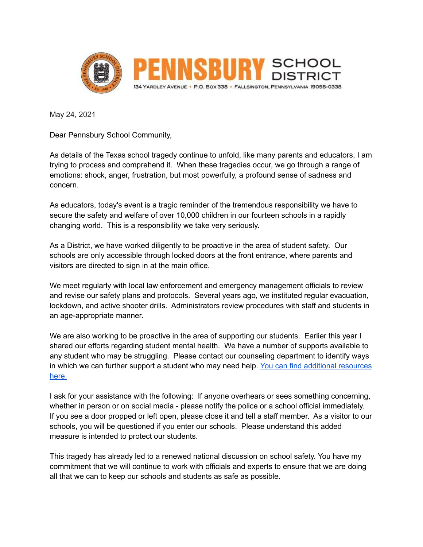

May 24, 2021

Dear Pennsbury School Community,

As details of the Texas school tragedy continue to unfold, like many parents and educators, I am trying to process and comprehend it. When these tragedies occur, we go through a range of emotions: shock, anger, frustration, but most powerfully, a profound sense of sadness and concern.

As educators, today's event is a tragic reminder of the tremendous responsibility we have to secure the safety and welfare of over 10,000 children in our fourteen schools in a rapidly changing world. This is a responsibility we take very seriously.

As a District, we have worked diligently to be proactive in the area of student safety. Our schools are only accessible through locked doors at the front entrance, where parents and visitors are directed to sign in at the main office.

We meet regularly with local law enforcement and emergency management officials to review and revise our safety plans and protocols. Several years ago, we instituted regular evacuation, lockdown, and active shooter drills. Administrators review procedures with staff and students in an age-appropriate manner.

We are also working to be proactive in the area of supporting our students. Earlier this year I shared our efforts regarding student mental health. We have a number of supports available to any student who may be struggling. Please contact our counseling department to identify ways in which we can further support a student who may need help. You can find additional [resources](https://www.nasponline.org/resources-and-publications/resources-and-podcasts/school-safety-and-crisis/school-violence-resources/talking-to-children-about-violence-tips-for-parents-and-teachers) [here.](https://www.nasponline.org/resources-and-publications/resources-and-podcasts/school-safety-and-crisis/school-violence-resources/talking-to-children-about-violence-tips-for-parents-and-teachers)

I ask for your assistance with the following: If anyone overhears or sees something concerning, whether in person or on social media - please notify the police or a school official immediately. If you see a door propped or left open, please close it and tell a staff member. As a visitor to our schools, you will be questioned if you enter our schools. Please understand this added measure is intended to protect our students.

This tragedy has already led to a renewed national discussion on school safety. You have my commitment that we will continue to work with officials and experts to ensure that we are doing all that we can to keep our schools and students as safe as possible.